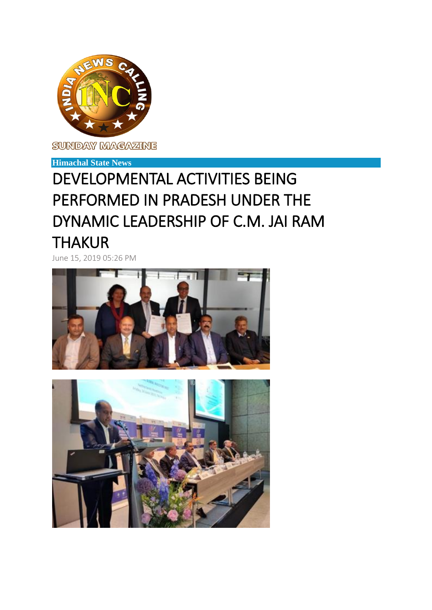

SUNDAY MAGAZINE

## **Himachal State News**

## DEVELOPMENTAL ACTIVITIES BEING PERFORMED IN PRADESH UNDER THE DYNAMIC LEADERSHIP OF C.M. JAI RAM THAKUR

June 15, 2019 05:26 PM



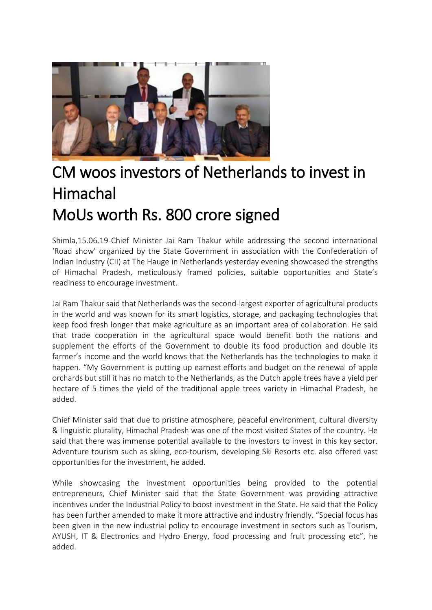

## CM woos investors of Netherlands to invest in Himachal MoUs worth Rs. 800 crore signed

Shimla,15.06.19-Chief Minister Jai Ram Thakur while addressing the second international 'Road show' organized by the State Government in association with the Confederation of Indian Industry (CII) at The Hauge in Netherlands yesterday evening showcased the strengths of Himachal Pradesh, meticulously framed policies, suitable opportunities and State's readiness to encourage investment.

Jai Ram Thakur said that Netherlands was the second-largest exporter of agricultural products in the world and was known for its smart logistics, storage, and packaging technologies that keep food fresh longer that make agriculture as an important area of collaboration. He said that trade cooperation in the agricultural space would benefit both the nations and supplement the efforts of the Government to double its food production and double its farmer's income and the world knows that the Netherlands has the technologies to make it happen. "My Government is putting up earnest efforts and budget on the renewal of apple orchards but still it has no match to the Netherlands, as the Dutch apple trees have a yield per hectare of 5 times the yield of the traditional apple trees variety in Himachal Pradesh, he added.

Chief Minister said that due to pristine atmosphere, peaceful environment, cultural diversity & linguistic plurality, Himachal Pradesh was one of the most visited States of the country. He said that there was immense potential available to the investors to invest in this key sector. Adventure tourism such as skiing, eco-tourism, developing Ski Resorts etc. also offered vast opportunities for the investment, he added.

While showcasing the investment opportunities being provided to the potential entrepreneurs, Chief Minister said that the State Government was providing attractive incentives under the Industrial Policy to boost investment in the State. He said that the Policy has been further amended to make it more attractive and industry friendly. "Special focus has been given in the new industrial policy to encourage investment in sectors such as Tourism, AYUSH, IT & Electronics and Hydro Energy, food processing and fruit processing etc", he added.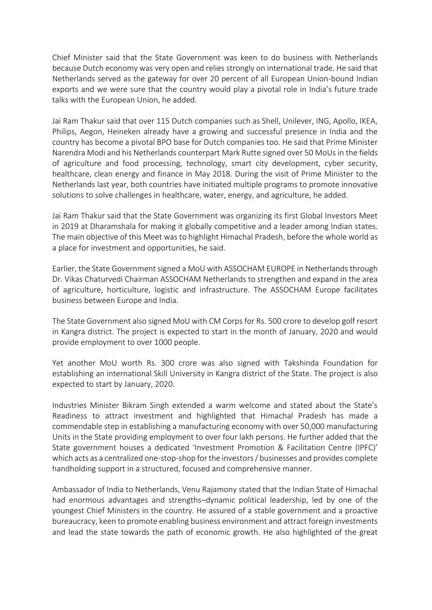Chief Minister said that the State Government was keen to do business with Netherlands because Dutch economy was very open and relies strongly on international trade. He said that Netherlands served as the gateway for over 20 percent of all European Union-bound Indian exports and we were sure that the country would play a pivotal role in India's future trade talks with the European Union, he added.

Jai Ram Thakur said that over 115 Dutch companies such as Shell, Unilever, ING, Apollo, IKEA, Philips, Aegon, Heineken already have a growing and successful presence in India and the country has become a pivotal BPO base for Dutch companies too. He said that Prime Minister Narendra Modi and his Netherlands counterpart Mark Rutte signed over 50 MoUs in the fields of agriculture and food processing, technology, smart city development, cyber security, healthcare, clean energy and finance in May 2018. During the visit of Prime Minister to the Netherlands last year, both countries have initiated multiple programs to promote innovative solutions to solve challenges in healthcare, water, energy, and agriculture, he added.

Jai Ram Thakur said that the State Government was organizing its first Global Investors Meet in 2019 at Dharamshala for making it globally competitive and a leader among Indian states. The main objective of this Meet was to highlight Himachal Pradesh, before the whole world as a place for investment and opportunities, he said.

Earlier, the State Government signed a MoU with ASSOCHAM EUROPE in Netherlands through Dr. Vikas Chaturvedi Chairman ASSOCHAM Netherlands to strengthen and expand in the area of agriculture, horticulture, logistic and infrastructure. The ASSOCHAM Europe facilitates business between Europe and India.

The State Government also signed MoU with CM Corps for Rs. 500 crore to develop golf resort in Kangra district. The project is expected to start in the month of January, 2020 and would provide employment to over 1000 people.

Yet another MoU worth Rs. 300 crore was also signed with Takshinda Foundation for establishing an international Skill University in Kangra district of the State. The project is also expected to start by January, 2020.

Industries Minister Bikram Singh extended a warm welcome and stated about the State's Readiness to attract investment and highlighted that Himachal Pradesh has made a commendable step in establishing a manufacturing economy with over 50,000 manufacturing Units in the State providing employment to over four lakh persons. He further added that the State government houses a dedicated 'Investment Promotion & Facilitation Centre (IPFC)' which acts as a centralized one-stop-shop for the investors / businesses and provides complete handholding support in a structured, focused and comprehensive manner.

Ambassador of India to Netherlands, Venu Rajamony stated that the Indian State of Himachal had enormous advantages and strengths–dynamic political leadership, led by one of the youngest Chief Ministers in the country. He assured of a stable government and a proactive bureaucracy, keen to promote enabling business environment and attract foreign investments and lead the state towards the path of economic growth. He also highlighted of the great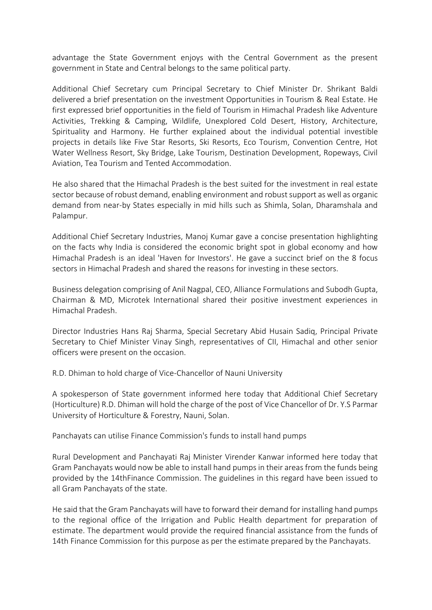advantage the State Government enjoys with the Central Government as the present government in State and Central belongs to the same political party.

Additional Chief Secretary cum Principal Secretary to Chief Minister Dr. Shrikant Baldi delivered a brief presentation on the investment Opportunities in Tourism & Real Estate. He first expressed brief opportunities in the field of Tourism in Himachal Pradesh like Adventure Activities, Trekking & Camping, Wildlife, Unexplored Cold Desert, History, Architecture, Spirituality and Harmony. He further explained about the individual potential investible projects in details like Five Star Resorts, Ski Resorts, Eco Tourism, Convention Centre, Hot Water Wellness Resort, Sky Bridge, Lake Tourism, Destination Development, Ropeways, Civil Aviation, Tea Tourism and Tented Accommodation.

He also shared that the Himachal Pradesh is the best suited for the investment in real estate sector because of robust demand, enabling environment and robust support as well as organic demand from near-by States especially in mid hills such as Shimla, Solan, Dharamshala and Palampur.

Additional Chief Secretary Industries, Manoj Kumar gave a concise presentation highlighting on the facts why India is considered the economic bright spot in global economy and how Himachal Pradesh is an ideal 'Haven for Investors'. He gave a succinct brief on the 8 focus sectors in Himachal Pradesh and shared the reasons for investing in these sectors.

Business delegation comprising of Anil Nagpal, CEO, Alliance Formulations and Subodh Gupta, Chairman & MD, Microtek International shared their positive investment experiences in Himachal Pradesh.

Director Industries Hans Raj Sharma, Special Secretary Abid Husain Sadiq, Principal Private Secretary to Chief Minister Vinay Singh, representatives of CII, Himachal and other senior officers were present on the occasion.

R.D. Dhiman to hold charge of Vice-Chancellor of Nauni University

A spokesperson of State government informed here today that Additional Chief Secretary (Horticulture) R.D. Dhiman will hold the charge of the post of Vice Chancellor of Dr. Y.S Parmar University of Horticulture & Forestry, Nauni, Solan.

Panchayats can utilise Finance Commission's funds to install hand pumps

Rural Development and Panchayati Raj Minister Virender Kanwar informed here today that Gram Panchayats would now be able to install hand pumps in their areas from the funds being provided by the 14thFinance Commission. The guidelines in this regard have been issued to all Gram Panchayats of the state.

He said that the Gram Panchayats will have to forward their demand for installing hand pumps to the regional office of the Irrigation and Public Health department for preparation of estimate. The department would provide the required financial assistance from the funds of 14th Finance Commission for this purpose as per the estimate prepared by the Panchayats.